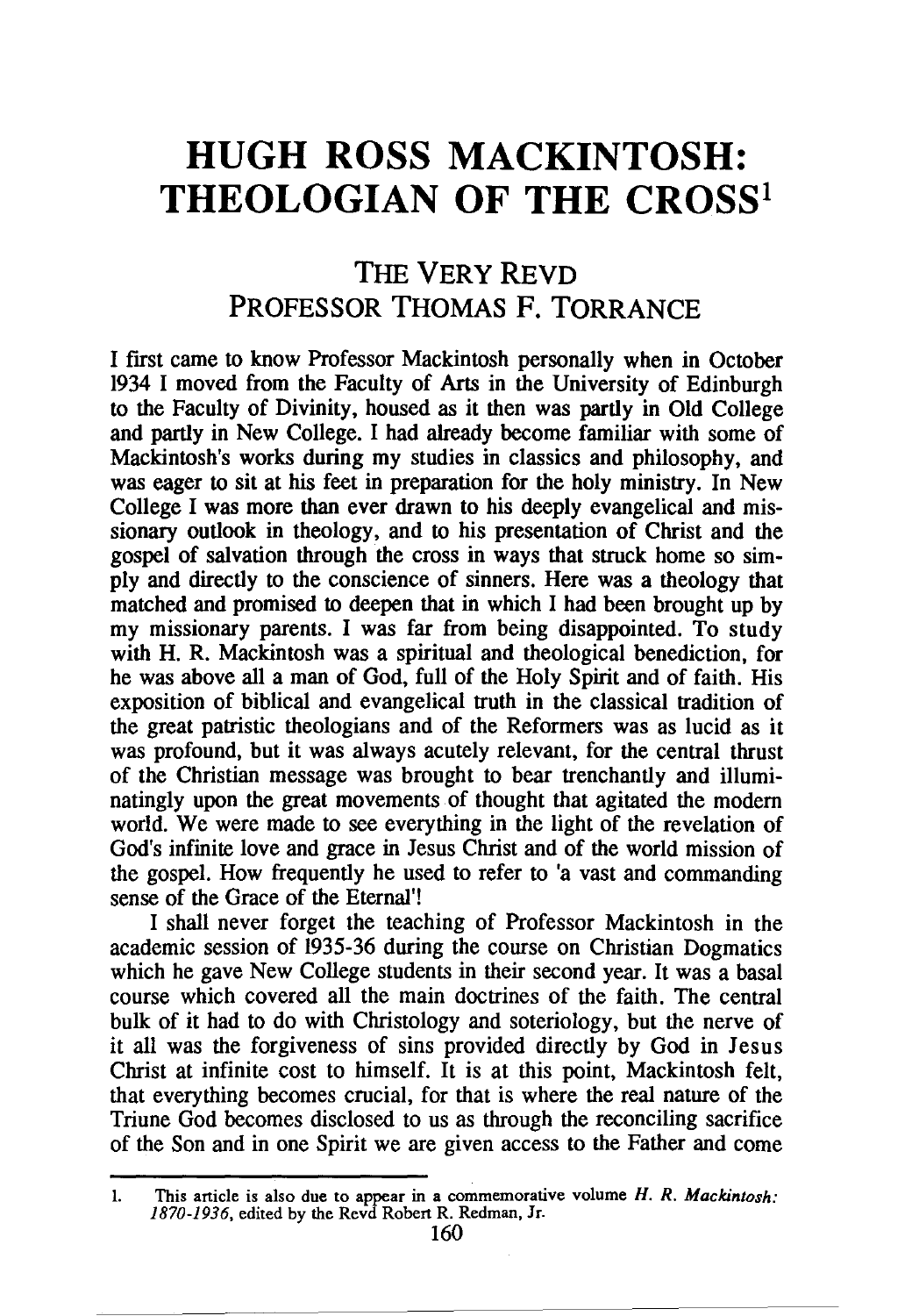# **HUGH ROSS MACKINTOSH: THEOLOGIAN OF THE CROSS<sup>1</sup>**

# THE VERY REVD PROFESSOR THOMAS F. TORRANCE

I first came to know Professor Mackintosh personally when in October 1934 I moved from the Faculty of Arts in the University of Edinburgh to the Faculty of Divinity, housed as it then was partly in Old College and partly in New College. I had already become familiar with some of Mackintosh's works during my studies in classics and philosophy, and was eager to sit at his feet in preparation for the holy ministry. In New College I was more than ever drawn to his deeply evangelical and missionary outlook in theology, and to his presentation of Christ and the gospel of salvation through the cross in ways that struck home so simply and directly to the conscience of sinners. Here was a theology that matched and promised to deepen that in which I had been brought up by my missionary parents. I was far from being disappointed. To study with H. R. Mackintosh was a spiritual and theological benediction, for he was above all a man of God, full of the Holy Spirit and of faith. His exposition of biblical and evangelical truth in the classical tradition of the great patristic theologians and of the Reformers was as lucid as it was profound, but it was always acutely relevant, for the central thrust of the Christian message was brought to bear trenchantly and illuminatingly upon the great movements of thought that agitated the modem world. We were made to see everything in the light of the revelation of God's infinite love and grace in Jesus Christ and of the world mission of the gospel. How frequently he used to refer to 'a vast and commanding sense of the Grace of the Eternal'!

I shall never forget the teaching of Professor Mackintosh in the academic session of 1935-36 during the course on Christian Dogmatics which he gave New College students in their second year. It was a basal course which covered all the main doctrines of the faith. The central bulk of it had to do with Christology and soteriology, but the nerve of it all was the forgiveness of sins provided directly by God in Jesus Christ at infinite cost to himself. It is at this point, Mackintosh felt, that everything becomes crucial, for that is where the real nature of the Triune God becomes disclosed to us as through the reconciling sacrifice of the Son and in one Spirit we are given access to the Father and come

<sup>1.</sup> This anicle is also due to appear in a commemorative volume *H. R. Mackintosh: 1870-1936,* edited by the Revd Roben R. Redman, Jr.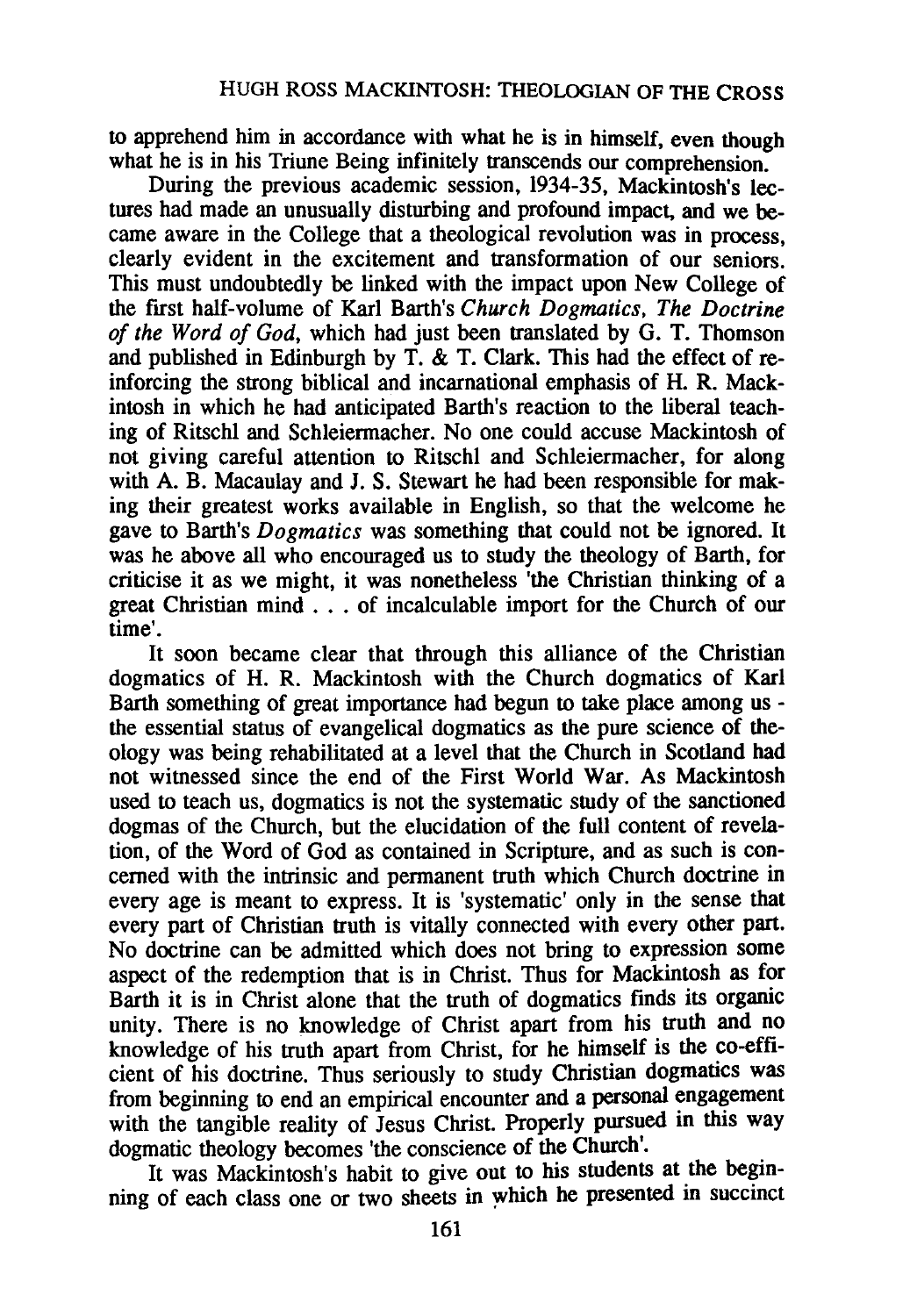to apprehend him in accordance with what he is in himself, even though what he is in his Triune Being infinitely transcends our comprehension.

During the previous academic session, 1934-35, Mackintosh's lectures had made an unusually disturbing and profound impact, and we became aware in the College that a theological revolution was in process, clearly evident in the excitement and transformation of our seniors. This must undoubtedly be linked with the impact upon New College of the first half-volume of Karl Barth's *Church Dogmatics, The Doctrine of the Word of God,* which had just been translated by G. T. Thomson and published in Edinburgh by T.  $\&$  T. Clark. This had the effect of reinforcing the strong biblical and incarnational emphasis of H. R. Mackintosh in which he had anticipated Barth's reaction to the liberal teaching of Ritschl and Schleiermacher. No one could accuse Mackintosh of not giving careful attention to Ritschl and Schleiermacher, for along with A. B. Macaulay and J. S. Stewart he had been responsible for making their greatest works available in English, so that the welcome he gave to Barth's *Dogmatics* was something that could not be ignored. It was he above all who encouraged us to study the theology of Barth, for criticise it as we might, it was nonetheless 'the Christian thinking of a great Christian mind . . . of incalculable import for the Church of our time'.

It soon became clear that through this alliance of the Christian dogmatics of H. R. Mackintosh with the Church dogmatics of Karl Barth something of great importance had begun to take place among us the essential status of evangelical dogmatics as the pure science of theology was being rehabilitated at a level that the Church in Scotland had not witnessed since the end of the First World War. As Mackintosh used to teach us, dogmatics is not the systematic study of the sanctioned dogmas of the Church, but the elucidation of the full content of revelation, of the Word of God as contained in Scripture, and as such is concerned with the intrinsic and permanent truth which Church doctrine in every age is meant to express. It is 'systematic' only in the sense that every part of Christian truth is vitally connected with every other part. No doctrine can be admitted which does not bring to expression some aspect of the redemption that is in Christ. Thus for Mackintosh as for Barth it is in Christ alone that the truth of dogmatics finds its organic unity. There is no knowledge of Christ apart from his truth and no knowledge of his truth apart from Christ, for he himself is the co-efficient of his doctrine. Thus seriously to study Christian dogmatics was from beginning to end an empirical encounter and a personal engagement with the tangible reality of Jesus Christ. Properly pursued in this way dogmatic theology becomes 'the conscience of the Church'.

It was Mackintosh's habit to give out to his students at the beginning of each class one or two sheets in which he presented in succinct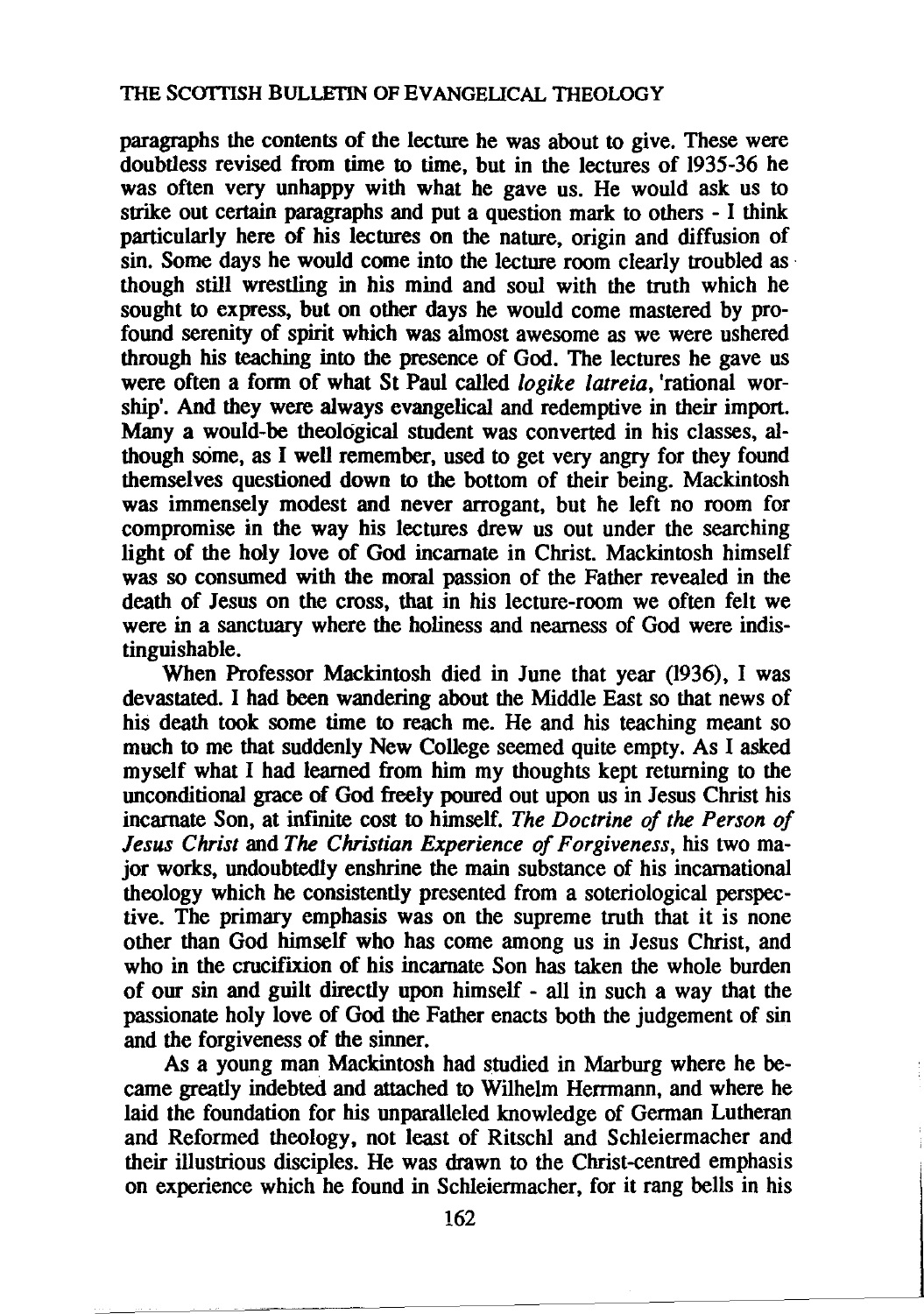paragraphs the contents of the lecture he was about to give. These were doubtless revised from time to time, but in the lectures of 1935-36 he was often very unhappy with what he gave us. He would ask us to strike out certain paragraphs and put a question mark to others - I think particularly here of his lectures on the nature, origin and diffusion of sin. Some days he would come into the lecture room clearly troubled as  $\cdot$ though still wrestling in his mind and soul with the truth which he sought to express, but on other days he would come mastered by profound serenity of spirit which was almost awesome as we were ushered through his teaching into the presence of God. The lectures he gave us were often a form of what St Paul called *logike latreia,* 'rational worship'. And they were always evangelical and redemptive in their import. Many a would-be theological student was converted in his classes, although some, as I well remember, used to get very angry for they found themselves questioned down to the bottom of their being. Mackintosh was immensely modest and never arrogant, but he left no room for compromise in the way his lectures drew us out under the searching light of the holy love of God incarnate in Christ. Mackintosh himself was so consumed with the moral passion of the Father revealed in the death of Jesus on the cross, that in his lecture-room we often felt we were in a sanctuary where the holiness and nearness of God were indistinguishable.

When Professor Mackintosh died in June that year (1936), I was devastated. I had been wandering about the Middle East so that news of his death took some time to reach me. He and his teaching meant so much to me that suddenly New College seemed quite empty. As I asked myself what I had learned from him my thoughts kept returning to the unconditional grace of God freely poured out upon us in Jesus Christ his incarnate Son, at infinite cost to himself. *The Doctrine of the Person of Jesus Christ* and *The Christian Experience of Forgiveness,* his two major works, undoubtedly enshrine the main substance of his incarnational theology which he consistently presented from a soteriological perspective. The primary emphasis was on the supreme truth that it is none other than God himself who has come among us in Jesus Christ, and who in the crucifixion of his incarnate Son has taken the whole burden of our sin and guilt directly upon himself - all in such a way that the passionate holy love of God the Father enacts both the judgement of sin and the forgiveness of the sinner.

As a young man Mackintosh had studied in Marburg where he became greatly indebted and attached to Wilhelm Herrmann, and where he laid the foundation for his unparalleled knowledge of German Lutheran and Reformed theology, not least of Ritschl and Schleiermacher and their illustrious disciples. He was drawn to the Christ-centred emphasis on experience which he found in Schleiermacher, for it rang bells in his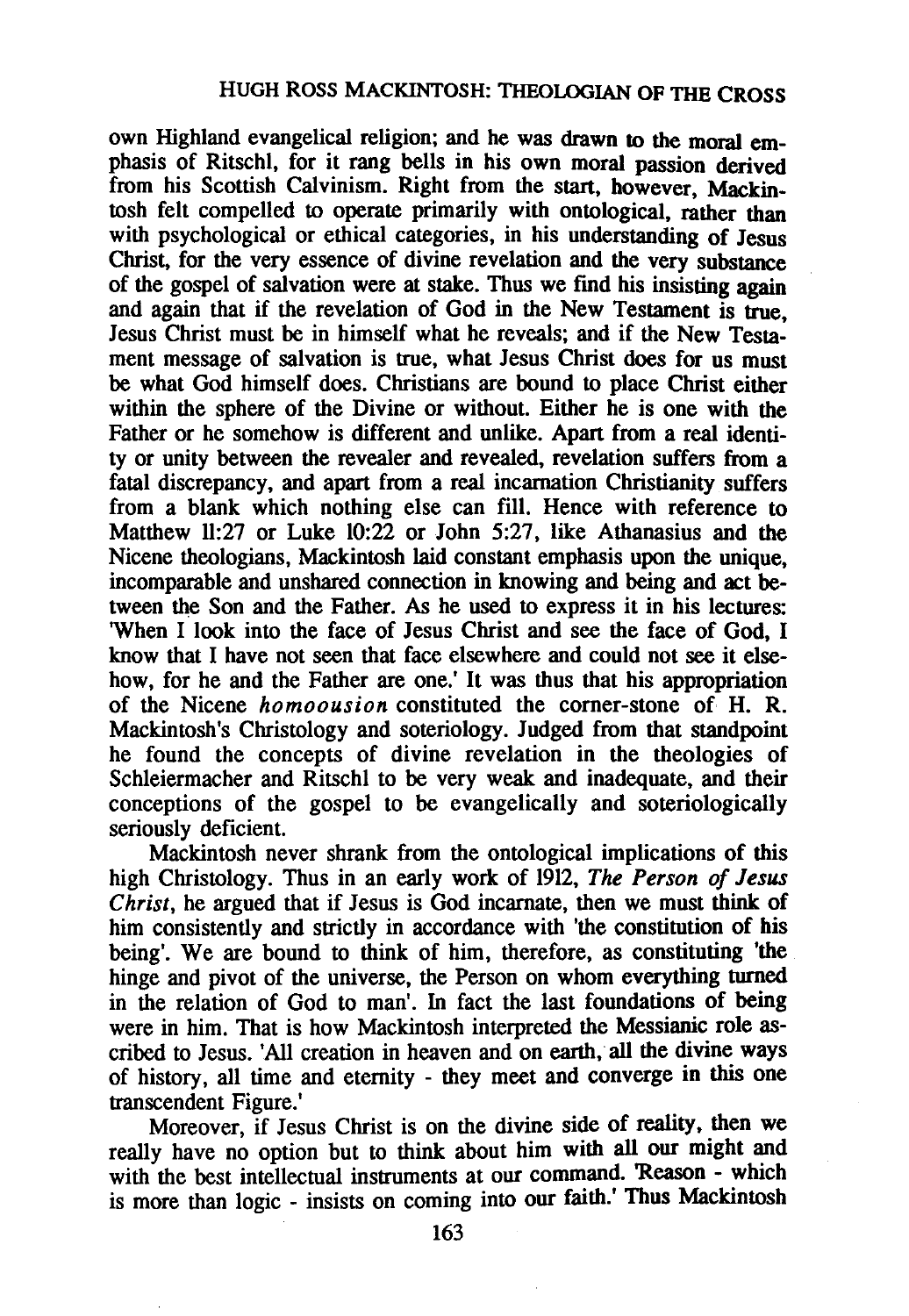own Highland evangelical religion; and he was drawn to the moral emphasis of Ritschl, for it rang bells in his own moral passion derived from his Scottish Calvinism. Right from the start, however, Mackintosh felt compelled to operate primarily with ontological, rather than with psychological or ethical categories, in his understanding of Jesus Christ, for the very essence of divine revelation and the very substance of the gospel of salvation were at stake. Thus we fmd his insisting again and again that if the revelation of God in the New Testament is true, Jesus Christ must be in himself what he reveals; and if the New Testament message of salvation is true, what Jesus Christ does for us must be what God himself does. Christians are bound to place Christ either within the sphere of the Divine or without. Either he is one with the Father or he somehow is different and unlike. Apart from a real identity or unity between the revealer and revealed, revelation suffers from a fatal discrepancy, and apart from a real incarnation Christianity suffers from a blank which nothing else can fill. Hence with reference to Matthew 11:27 or Luke 10:22 or John 5:27, like Athanasius and the Nicene theologians, Mackintosh laid constant emphasis upon the unique, incomparable and unshared connection in knowing and being and act between the Son and the Father. As he used to express it in his lectures: 'When I look into the face of Jesus Christ and see the face of God, I know that I have not seen that face elsewhere and could not see it elsehow, for he and the Father are one.' It was thus that his appropriation of the Nicene *homoousion* constituted the corner-stone of H. R. Mackintosh's Christology and soteriology. Judged from that standpoint he found the concepts of divine revelation in the theologies of Schleiermacher and Ritschl to be very weak and inadequate, and their conceptions of the gospel to be evangelically and soteriologically seriously deficient.

Mackintosh never shrank from the ontological implications of this high Christology. Thus in an early work of 1912, *The Person of Jesus Christ,* he argued that if Jesus is God incarnate, then we must think of him consistently and strictly in accordance with 'the constitution of his being'. We are bound to think of him, therefore, as constituting 'the hinge and pivot of the universe, the Person on whom everything turned in the relation of God to man'. In fact the last foundations of being were in him. That is how Mackintosh interpreted the Messianic role ascribed to Jesus. 'All creation in heaven and on earth, all the divine ways of history, all time and eternity - they meet and converge in this one transcendent Figure.'

Moreover, if Jesus Christ is on the divine side of reality, then we really have no option but to think about him with all our might and with the best intellectual instruments at our command. 'Reason - which is more than logic - insists on coming into our faith.' Thus Mackintosh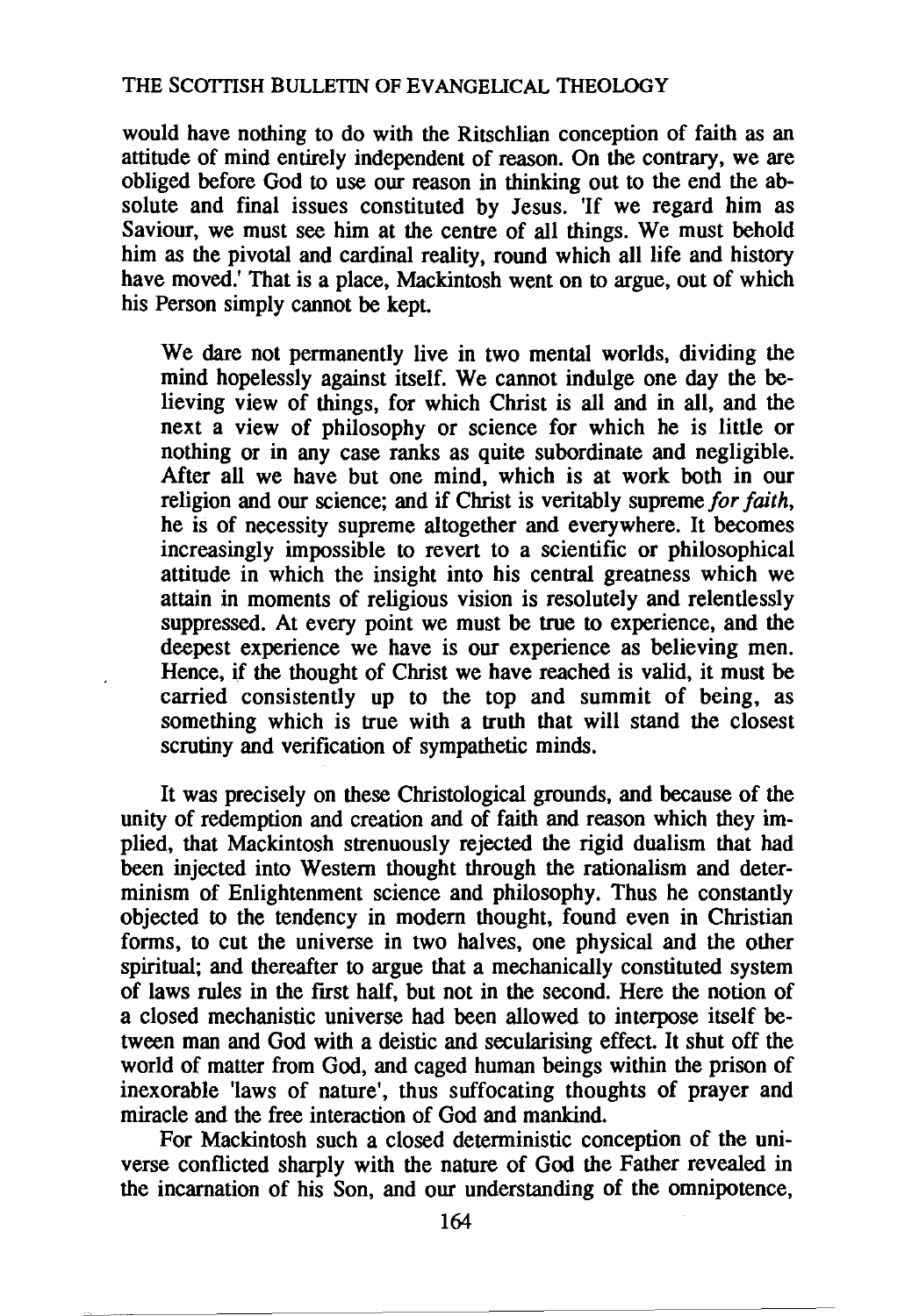would have nothing to do with the Ritschlian conception of faith as an attitude of mind entirely independent of reason. On the contrary, we are obliged before God to use our reason in thinking out to the end the absolute and final issues constituted by Jesus. 'If we regard him as Saviour, we must see him at the centre of all things. We must behold him as the pivotal and cardinal reality, round which all life and history have moved.' That is a place, Mackintosh went on to argue, out of which his Person simply cannot be kept.

We dare not permanently live in two mental worlds, dividing the mind hopelessly against itself. We cannot indulge one day the believing view of things, for which Christ is all and in all, and the next a view of philosophy or science for which he is little or nothing or in any case ranks as quite subordinate and negligible. After all we have but one mind, which is at work both in our religion and our science; and if Christ is veritably supreme *for faith,*  he is of necessity supreme altogether and everywhere. It becomes increasingly impossible to revert to a scientific or philosophical attitude in which the insight into his central greatness which we attain in moments of religious vision is resolutely and relentlessly suppressed. At every point we must be true to experience, and the deepest experience we have is our experience as believing men. Hence, if the thought of Christ we have reached is valid, it must be carried consistently up to the top and summit of being, as something which is true with a truth that will stand the closest scrutiny and verification of sympathetic minds.

It was precisely on these Christological grounds, and because of the unity of redemption and creation and of faith and reason which they implied, that Mackintosh strenuously rejected the rigid dualism that had been injected into Western thought through the rationalism and determinism of Enlightenment science and philosophy. Thus he constantly objected to the tendency in modern thought, found even in Christian forms, to cut the universe in two halves, one physical and the other spiritual; and thereafter to argue that a mechanically constituted system of laws rules in the first half, but not in the second. Here the notion of a closed mechanistic universe had been allowed to interpose itself between man and God with a deistic and secularising effect. It shut off the world of matter from God, and caged human beings within the prison of inexorable 'laws of nature', thus suffocating thoughts of prayer and miracle and the free interaction of God and mankind.

For Mackintosh such a closed deterministic conception of the universe conflicted sharply with the nature of God the Father revealed in the incarnation of his Son, and our understanding of the omnipotence,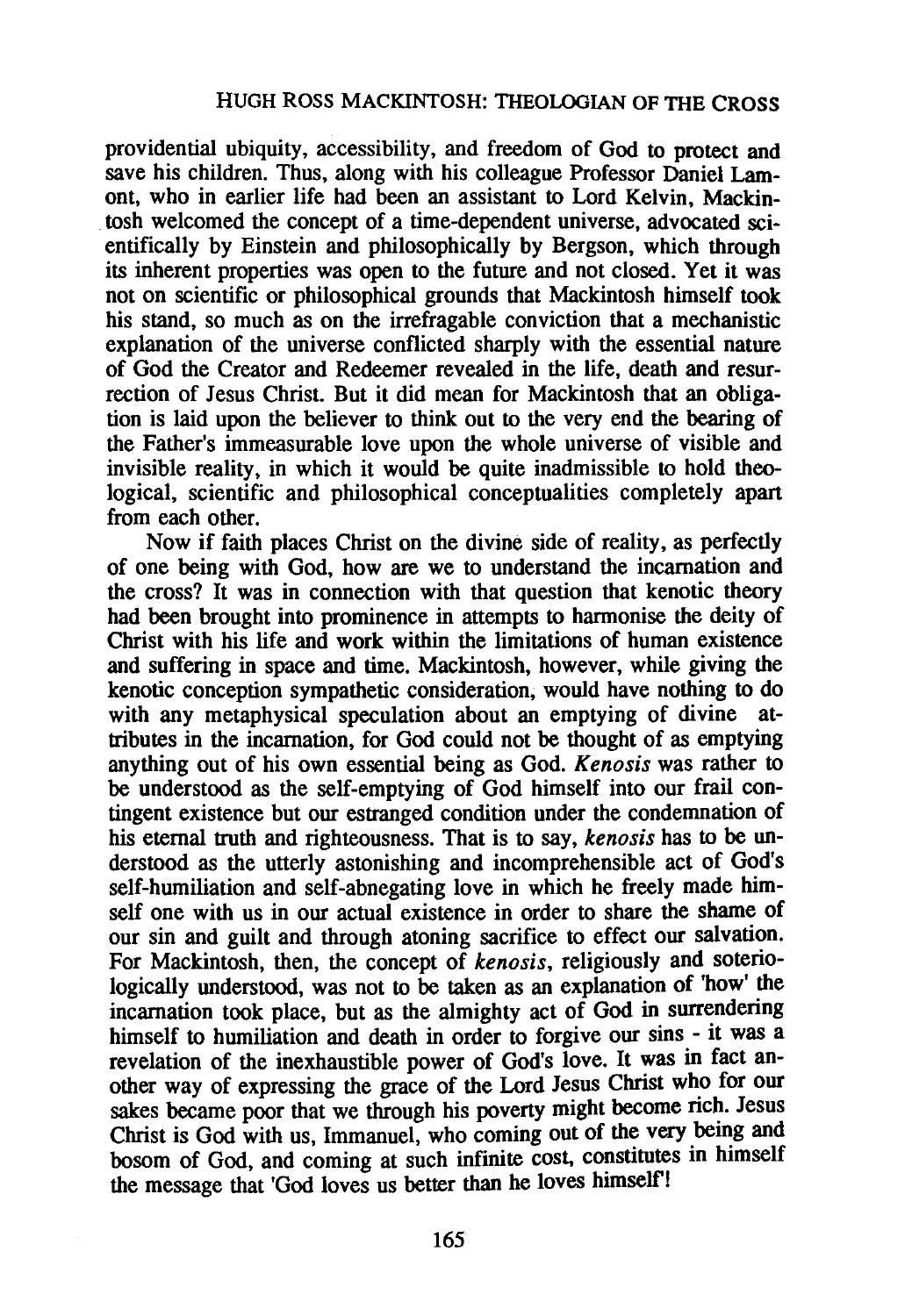providential ubiquity, accessibility, and freedom of God to protect and save his children. Thus, along with his colleague Professor Daniel Lamont, who in earlier life had been an assistant to Lord Kelvin, Mackin- . tosh welcomed the concept of a time-dependent universe, advocated scientifically by Einstein and philosophically by Bergson, which through its inherent properties was open to the future and not closed. Yet it was not on scientific or philosophical grounds that Mackintosh himself took his stand, so much as on the irrefragable conviction that a mechanistic explanation of the universe conflicted sharply with the essential nature of God the Creator and Redeemer revealed in the life, death and resurrection of Jesus Christ. But it did mean for Mackintosh that an obligation is laid upon the believer to think out to the very end the bearing of the Father's immeasurable love upon the whole universe of visible and invisible reality, in which it would be quite inadmissible to hold theological, scientific and philosophical conceptualities completely apart from each other.

Now if faith places Christ on the divine side of reality, as perfectly of one being with God, how are we to understand the incarnation and the cross? It was in connection with that question that kenotic theory had been brought into prominence in attempts to harmonise the deity of Christ with his life and work within the limitations of human existence and suffering in space and time. Mackintosh, however, while giving the kenotic conception sympathetic consideration, would have nothing to do with any metaphysical speculation about an emptying of divine attributes in the incarnation, for God could not be thought of as emptying anything out of his own essential being as God. *Kenosis* was rather to be understood as the self-emptying of God himself into our frail contingent existence but our estranged condition under the condemnation of his eternal truth and righteousness. That is to say, *kenosis* has to be understood as the utterly astonishing and incomprehensible act of God's self-humiliation and self-abnegating love in which he freely made himself one with us in our actual existence in order to share the shame of our sin and guilt and through atoning sacrifice to effect our salvation. For Mackintosh, then, the concept of *kenosis,* religiously and soteriologically understood, was not to be taken as an explanation of 'how' the incarnation took place, but as the almighty act of God in surrendering himself to humiliation and death in order to forgive our sins - it was a revelation of the inexhaustible power of God's love. It was in fact another way of expressing the grace of the Lord Jesus Christ who for our sakes became poor that we through his poverty might become rich. Jesus Christ is God with us, Immanuel, who coming out of the very being and bosom of God, and coming at such infinite cost, constitutes in himself the message that 'God loves us better than he loves himself'!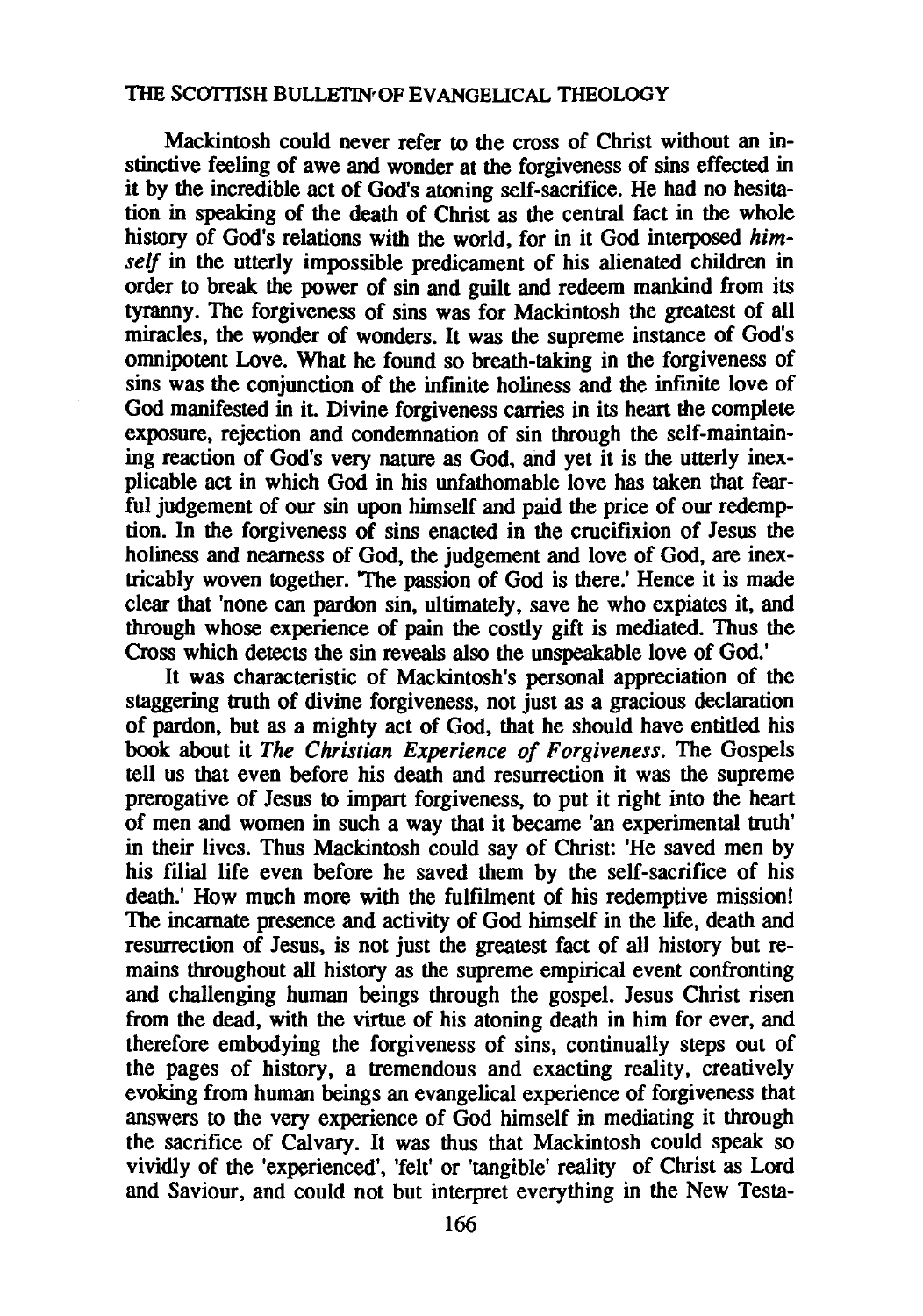Mackintosh could never refer to the cross of Christ without an instinctive feeling of awe and wonder at the forgiveness of sins effected in it by the incredible act of God's atoning self-sacrifice. He had no hesitation in speaking of the death of Christ as the central fact in the whole history of God's relations with the world, for in it God interposed *himself* in the utterly impossible predicament of his alienated children in order to break the power of sin and guilt and redeem mankind from its tyranny. The forgiveness of sins was for Mackintosh the greatest of all miracles, the wonder of wonders. It was the supreme instance of God's omnipotent Love. What he found so breath-taking in the forgiveness of sins was the conjunction of the infinite holiness and the infinite love of God manifested in it. Divine forgiveness carries in its heart the complete exposure, rejection and condemnation of sin through the self-maintaining reaction of God's very nature as God, and yet it is the utterly inexplicable act in which God in his unfathomable love has taken that fearful judgement of our sin upon himself and paid the price of our redemption. In the forgiveness of sins enacted in the crucifixion of Jesus the holiness and nearness of God, the judgement and love of God, are inextricably woven together. 'The passion of God is there.' Hence it is made clear that 'none can pardon sin, ultimately, save he who expiates it, and through whose experience of pain the costly gift is mediated. Thus the Cross which detects the sin reveals also the unspeakable love of God.'

It was characteristic of Mackintosh's personal appreciation of the staggering truth of divine forgiveness, not just as a gracious declaration of pardon, but as a mighty act of God, that he should have entitled his book about it *The Christian Experience of Forgiveness.* The Gospels tell us that even before his death and resurrection it was the supreme prerogative of Jesus to impart forgiveness, to put it right into the heart of men and women in such a way that it became 'an experimental truth' in their lives. Thus Mackintosh could say of Christ: 'He saved men by his filial life even before he saved them by the self-sacrifice of his death.' How much more with the fulfilment of his redemptive mission! The incarnate presence and activity of God himself in the life, death and resurrection of Jesus, is not just the greatest fact of all history but remains throughout all history as the supreme empirical event confronting and challenging human beings through the gospel. Jesus Christ risen from the dead, with the virtue of his atoning death in him for ever, and therefore embodying the forgiveness of sins, continually steps out of the pages of history, a tremendous and exacting reality, creatively evoking from human beings an evangelical experience of forgiveness that answers to the very experience of God himself in mediating it through the sacrifice of Calvary. It was thus that Mackintosh could speak so vividly of the 'experienced', 'felt' or 'tangible' reality of Christ as Lord and Saviour, and could not but interpret everything in the New Testa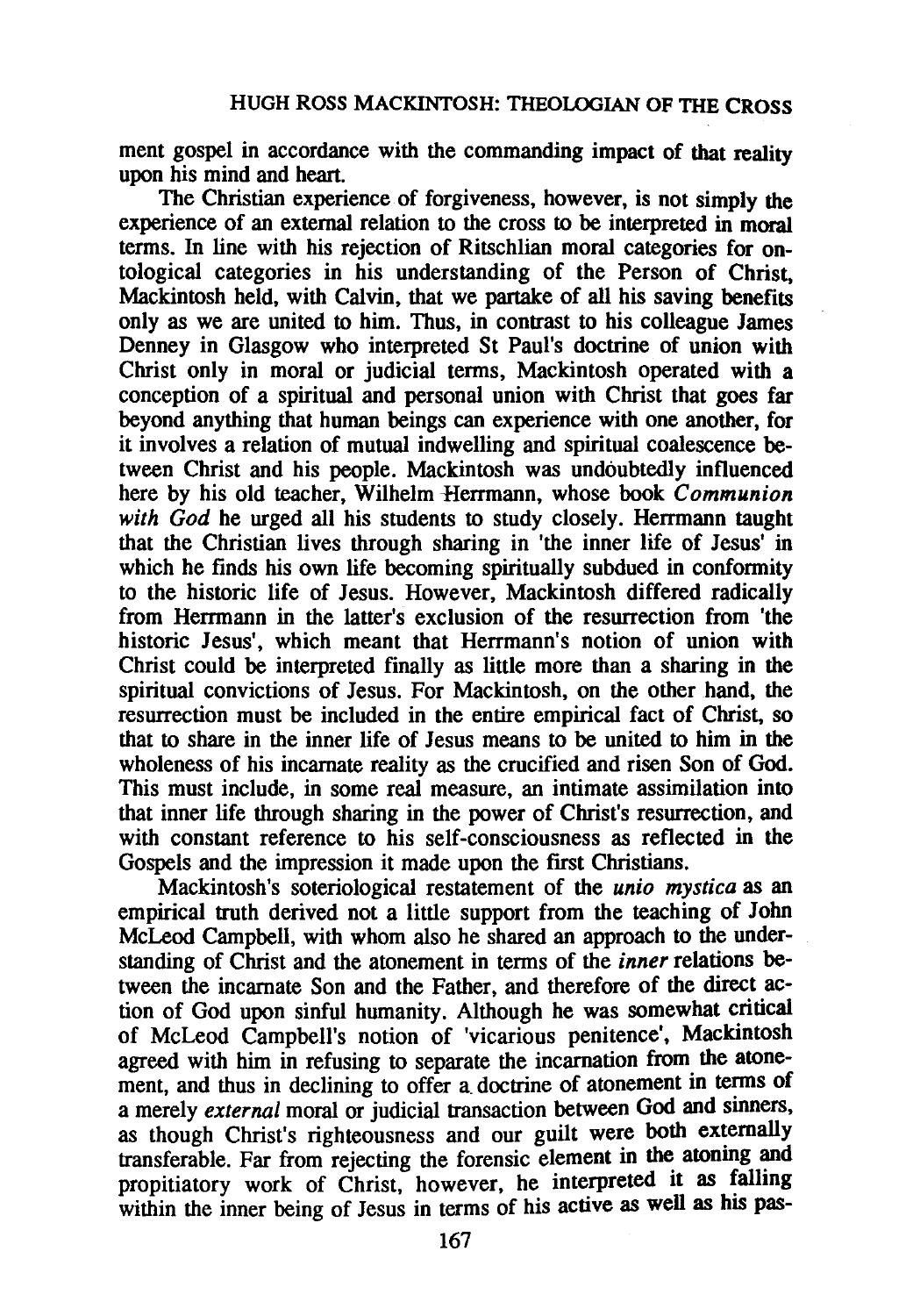ment gospel in accordance with the commanding impact of that reality upon his mind and heart.

The Christian experience of forgiveness, however, is not simply the experience of an external relation to the cross to be interpreted in moral terms. In line with his rejection of Ritschlian moral categories for ontological categories in his understanding of the Person of Christ, Mackintosh held, with Calvin, that we partake of all his saving benefits only as we are united to him. Thus, in contrast to his colleague James Denney in Glasgow who interpreted St Paul's doctrine of union with Christ only in moral or judicial terms, Mackintosh operated with a conception of a spiritual and personal union with Christ that goes far beyond anything that human beings can experience with one another, for it involves a relation of mutual indwelling and spiritual coalescence between Christ and his people. Mackintosh was undoubtedly influenced here by his old teacher, Wilhelm -Herrmann, whose book *Communion*  with God he urged all his students to study closely. Herrmann taught that the Christian lives through sharing in 'the inner life of Jesus' in which he finds his own life becoming spiritually subdued in conformity to the historic life of Jesus. However, Mackintosh differed radically from Herrmann in the latter's exclusion of the resurrection from 'the historic Jesus', which meant that Herrmann's notion of union with Christ could be interpreted finally as little more than a sharing in the spiritual convictions of Jesus. For Mackintosh, on the other hand, the resurrection must be included in the entire empirical fact of Christ, so that to share in the inner life of Jesus means to be united to him in the wholeness of his incarnate reality as the crucified and risen Son of God. This must include, in some real measure, an intimate assimilation into that inner life through sharing in the power of Christ's resurrection, and with constant reference to his self-consciousness as reflected in the Gospels and the impression it made upon the first Christians.

Mackintosh's soteriological restatement of the *unio mystica* as an empirical truth derived not a little support from the teaching of John McLeod Campbell, with whom also he shared an approach to the understanding of Christ and the atonement in terms of the *inner* relations between the incarnate Son and the Father, and therefore of the direct action of God upon sinful humanity. Although he was somewhat critical of McLeod Campbell's notion of 'vicarious penitence', Mackintosh agreed with him in refusing to separate the incarnation from the atonement, and thus in declining to offer a doctrine of atonement in terms of a merely *external* moral or judicial transaction between God and smners, as though Christ's righteousness and our guilt were both externally transferable. Far from rejecting the forensic element in the atoning and propitiatory work of Christ, however, he interpreted it as falling within the inner being of Jesus in terms of his active as well as his pas-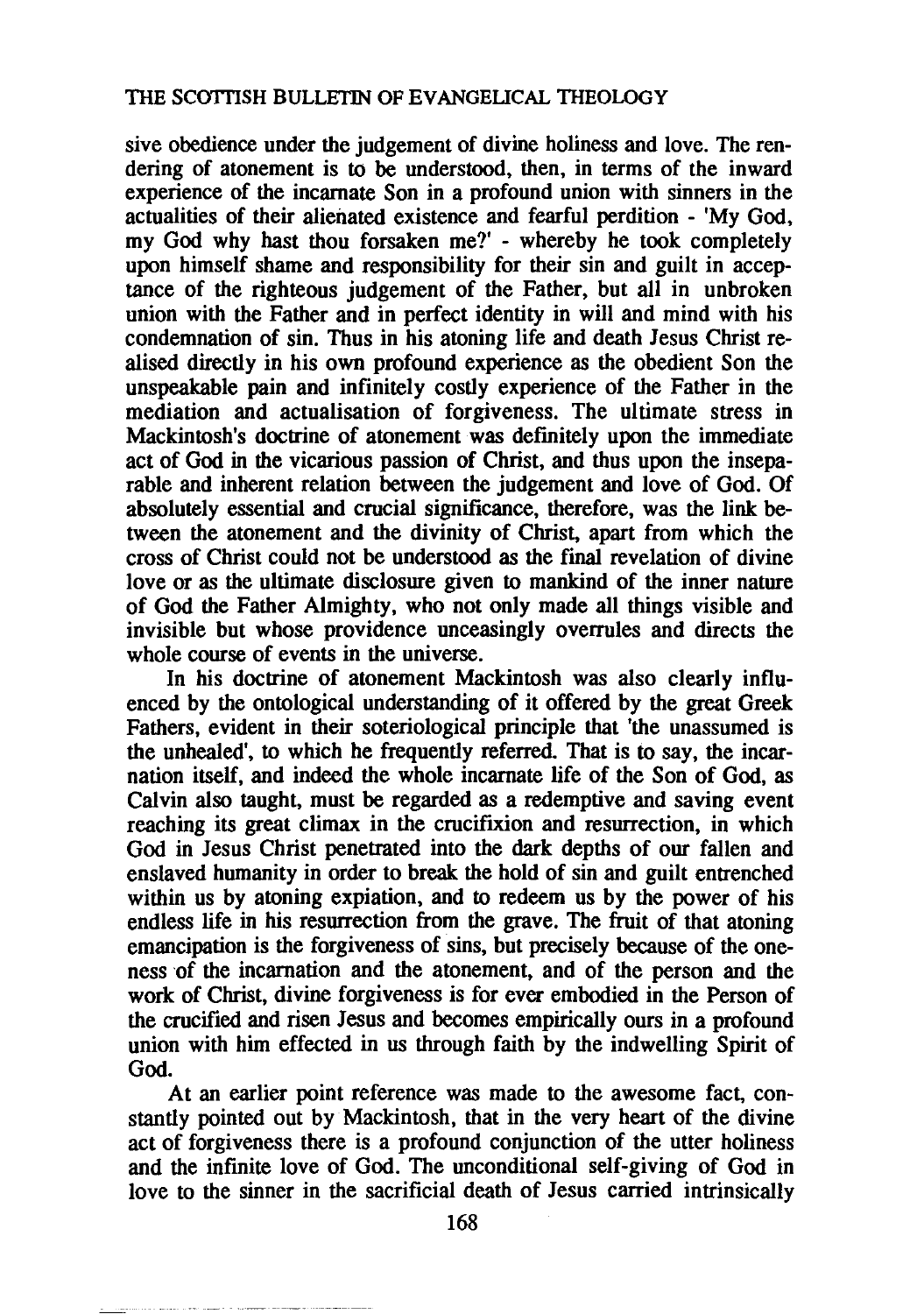sive obedience under the judgement of divine holiness and love. The rendering of atonement is to be understood, then, in terms of the inward experience of the incarnate Son in a profound union with sinners in the actualities of their alienated existence and fearful perdition - 'My God, my God why hast thou forsaken me?' - whereby he took completely upon himself shame and responsibility for their sin and guilt in acceptance of the righteous judgement of the Father, but all in unbroken union with the Father and in perfect identity in will and mind with his condemnation of sin. Thus in his atoning life and death Jesus Christ realised directly in his own profound experience as the obedient Son the unspeakable pain and infinitely costly experience of the Father in the mediation and actualisation of forgiveness. The ultimate stress in Mackintosh's doctrine of atonement was definitely upon the immediate act of God in the vicarious passion of Christ, and thus upon the inseparable and inherent relation between the judgement and love of God. Of absolutely essential and crucial significance, therefore, was the link between the atonement and the divinity of Christ, apart from which the cross of Christ could not be understood as the final revelation of divine love or as the ultimate disclosure given to mankind of the inner nature of God the Father Almighty, who not only made all things visible and invisible but whose providence unceasingly overrules and directs the whole course of events in the universe.

In his doctrine of atonement Mackintosh was also clearly influenced by the ontological understanding of it offered by the great Greek Fathers, evident in their soteriological principle that 'the unassumed is the unhealed', to which he frequently referred. That is to say, the incarnation itself, and indeed the whole incarnate life of the Son of God, as Calvin also taught, must be regarded as a redemptive and saving event reaching its great climax in the crucifixion and resurrection, in which God in Jesus Christ penetrated into the dark depths of our fallen and enslaved humanity in order to break the hold of sin and guilt entrenched within us by atoning expiation, and to redeem us by the power of his endless life in his resurrection from the grave. The fruit of that atoning emancipation is the forgiveness of sins, but precisely because of the oneness of the incarnation and the atonement, and of the person and the work of Christ, divine forgiveness is for ever embodied in the Person of the crucified and risen Jesus and becomes empirically ours in a profound union with him effected in us through faith by the indwelling Spirit of God.

At an earlier point reference was made to the awesome fact, constantly pointed out by Mackintosh, that in the very heart of the divine act of forgiveness there is a profound conjunction of the utter holiness and the infinite love of God. The unconditional self-giving of God in love to the sinner in the sacrificial death of Jesus carried intrinsically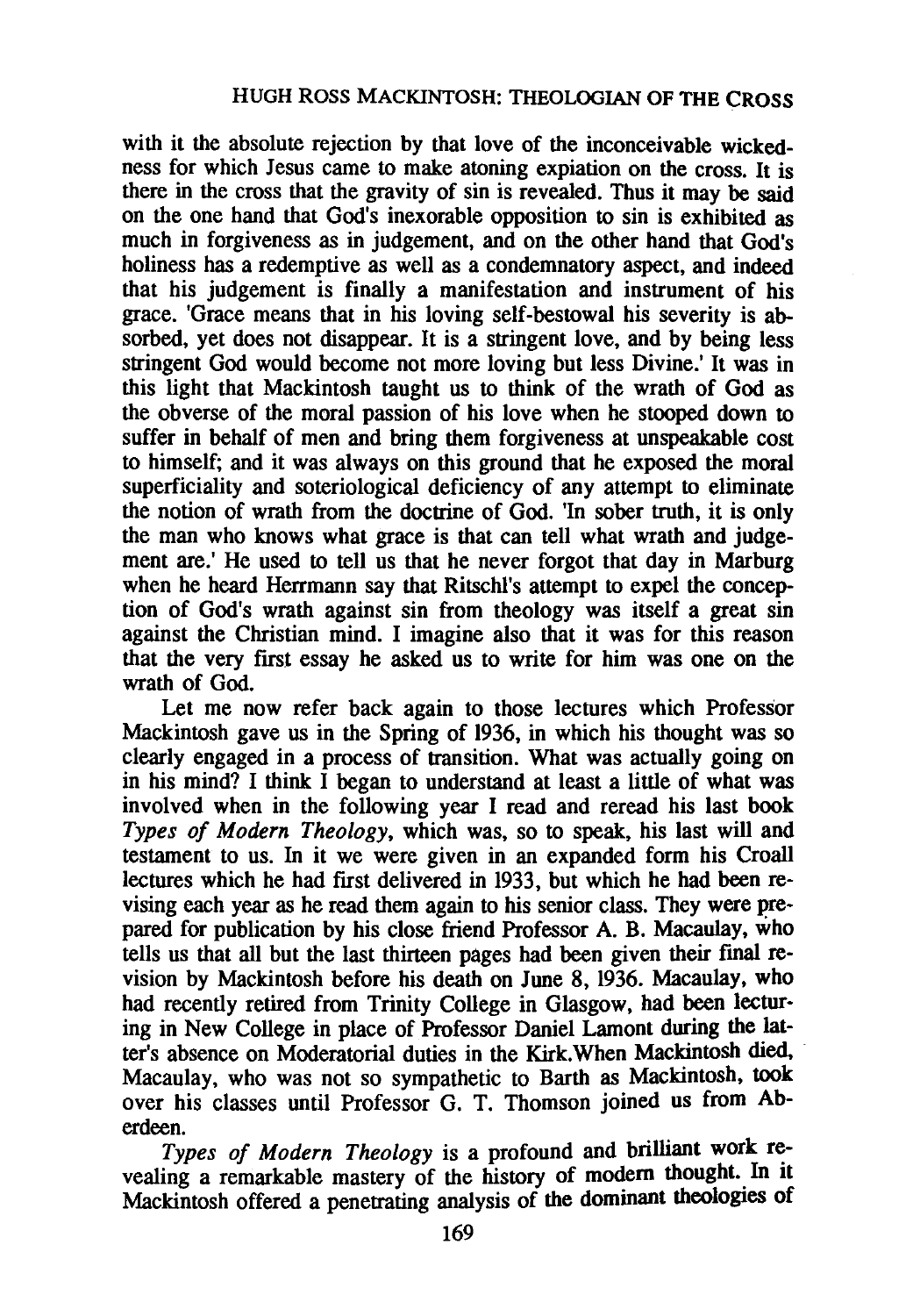with it the absolute rejection by that love of the inconceivable wickedness for which Jesus came to make atoning expiation on the cross. It is there in the cross that the gravity of sin is revealed. Thus it may be said on the one hand that God's inexorable opposition to sin is exhibited as much in forgiveness as in judgement, and on the other hand that God's holiness has a redemptive as well as a condemnatory aspect, and indeed that his judgement is finally a manifestation and instrument of his grace. 'Grace means that in his loving self-bestowal his severity is absorbed, yet does not disappear. It is a stringent love, and by being less stringent God would become not more loving but less Divine.' It was in this light that Mackintosh taught us to think of the wrath of God as the obverse of the moral passion of his love when he stooped down to suffer in behalf of men and bring them forgiveness at unspeakable cost to himself; and it was always on this ground that he exposed the moral superficiality and soteriological deficiency of any attempt to eliminate the notion of wrath from the doctrine of God. 'In sober truth, it is only the man who knows what grace is that can tell what wrath and judgement are.' He used to tell us that he never forgot that day in Marburg when he heard Herrmann say that Ritschl's attempt to expel the conception of God's wrath against sin from theology was itself a great sin against the Christian mind. I imagine also that it was for this reason that the very first essay he asked us to write for him was one on the wrath of God.

Let me now refer back again to those lectures which Professor Mackintosh gave us in the Spring of 1936, in which his thought was so clearly engaged in a process of transition. What was actually going on in his mind? I think I began to understand at least a little of what was involved when in the following year I read and reread his last book *Types of Modern Theology,* which was, so to speak, his last will and testament to us. In it we were given in an expanded form his Croall lectures which he had first delivered in 1933, but which he had been revising each year as he read them again to his senior class. They were prepared for publication by his close friend Professor A. B. Macaulay, who tells us that all but the last thirteen pages had been given their final revision by Mackintosh before his death on June 8, 1936. Macaulay, who had recently retired from Trinity College in Glasgow, had been lecturing in New College in place of Professor Daniel Lamont during the latter's absence on Moderatorial duties in the Kirk.When Mackintosh died, Macaulay, who was not so sympathetic to Barth as Mackintosh, took over his classes until Professor G. T. Thomson joined us from Aberdeen.

Types of Modern Theology is a profound and brilliant work revealing a remarkable mastery of the history of modern thought. In it Mackintosh offered a penetrating analysis of the dommant theologies of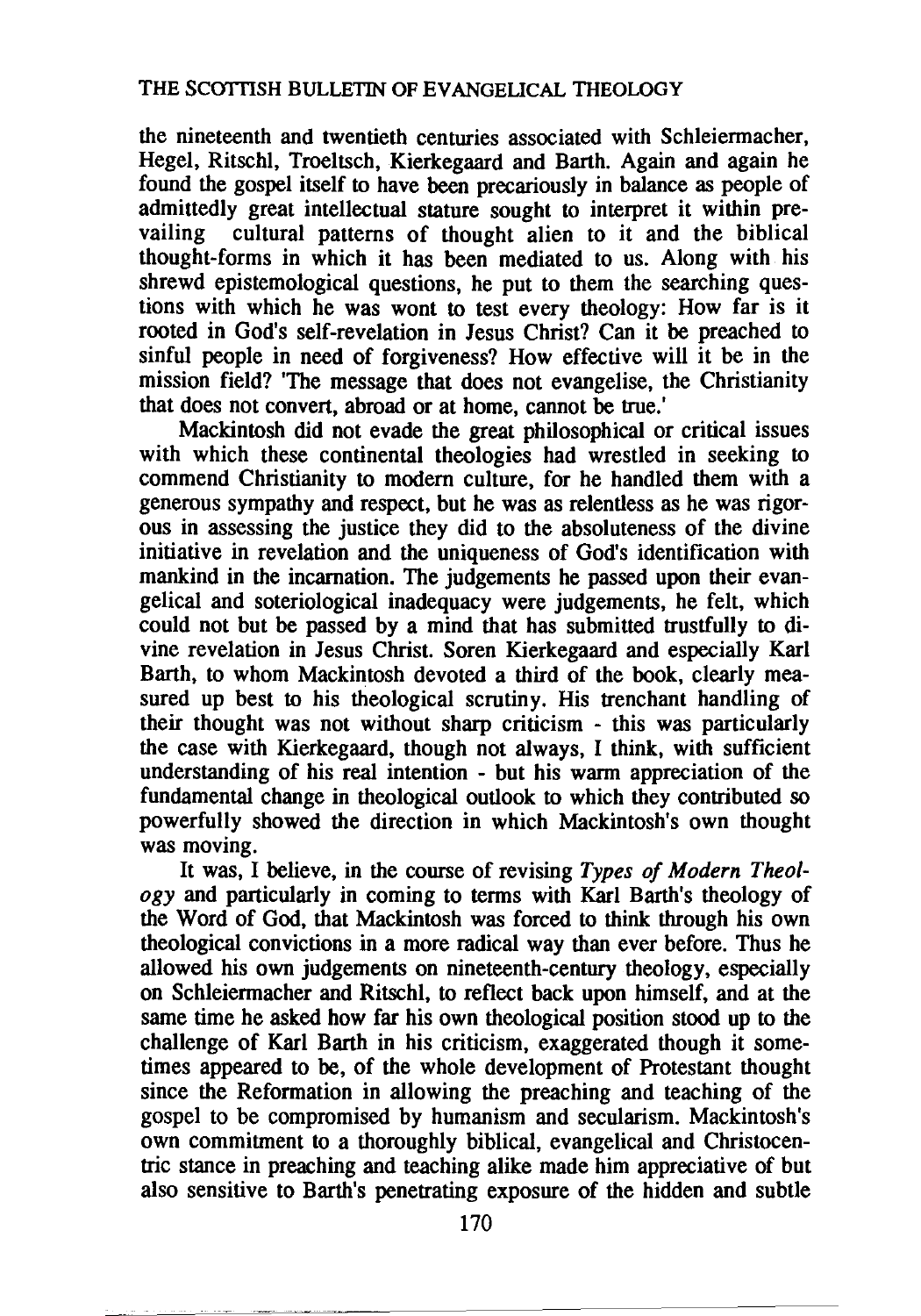the nineteenth and twentieth centuries associated with Schleiermacher, Hegel, Ritschl, Troeltsch, Kierkegaard and Barth. Again and again he found the gospel itself to have been precariously in balance as people of admittedly great intellectual stature sought to interpret it within prevailing cultural patterns of thought alien to it and the biblical thought-forms in which it has been mediated to us. Along with his shrewd epistemological questions, he put to them the searching questions with which he was wont to test every theology: How far is it rooted in God's self-revelation in Jesus Christ? Can it be preached to sinful people in need of forgiveness? How effective will it be in the mission field? 'The message that does not evangelise, the Christianity that does not convert, abroad or at home, cannot be true.'

Mackintosh did not evade the great philosophical or critical issues with which these continental theologies had wrestled in seeking to commend Christianity to modem culture, for he handled them with a generous sympathy and respect, but he was as relentless as he was rigorous in assessing the justice they did to the absoluteness of the divine initiative in revelation and the uniqueness of God's identification with mankind in the incarnation. The judgements he passed upon their evangelical and soteriological inadequacy were judgements, he felt, which could not but be passed by a mind that has submitted trustfully to divine revelation in Jesus Christ. Soren Kierkegaard and especially Karl Barth, to whom Mackintosh devoted a third of the book, clearly measured up best to his theological scrutiny. His trenchant handling of their thought was not without sharp criticism - this was particularly the case with Kierkegaard, though not always, I think, with sufficient understanding of his real intention - but his warm appreciation of the fundamental change in theological outlook to which they contributed so powerfully showed the direction in which Mackintosh's own thought was moving.

It was, I believe, in the course of revising *Types of Modern Theology* and particularly in coming to terms with Karl Barth's theology of the Word of God, that Mackintosh was forced to think through his own theological convictions in a more radical way than ever before. Thus he allowed his own judgements on nineteenth-century theology, especially on Schleiermacher and Ritschl, to reflect back upon himself, and at the same time he asked how far his own theological position stood up to the challenge of Karl Barth in his criticism, exaggerated though it sometimes appeared to be, of the whole development of Protestant thought since the Reformation in allowing the preaching and teaching of the gospel to be compromised by humanism and secularism. Mackintosh's own commitment to a thoroughly biblical, evangelical and Christocentric stance in preaching and teaching alike made him appreciative of but also sensitive to Barth's penetrating exposure of the hidden and subtle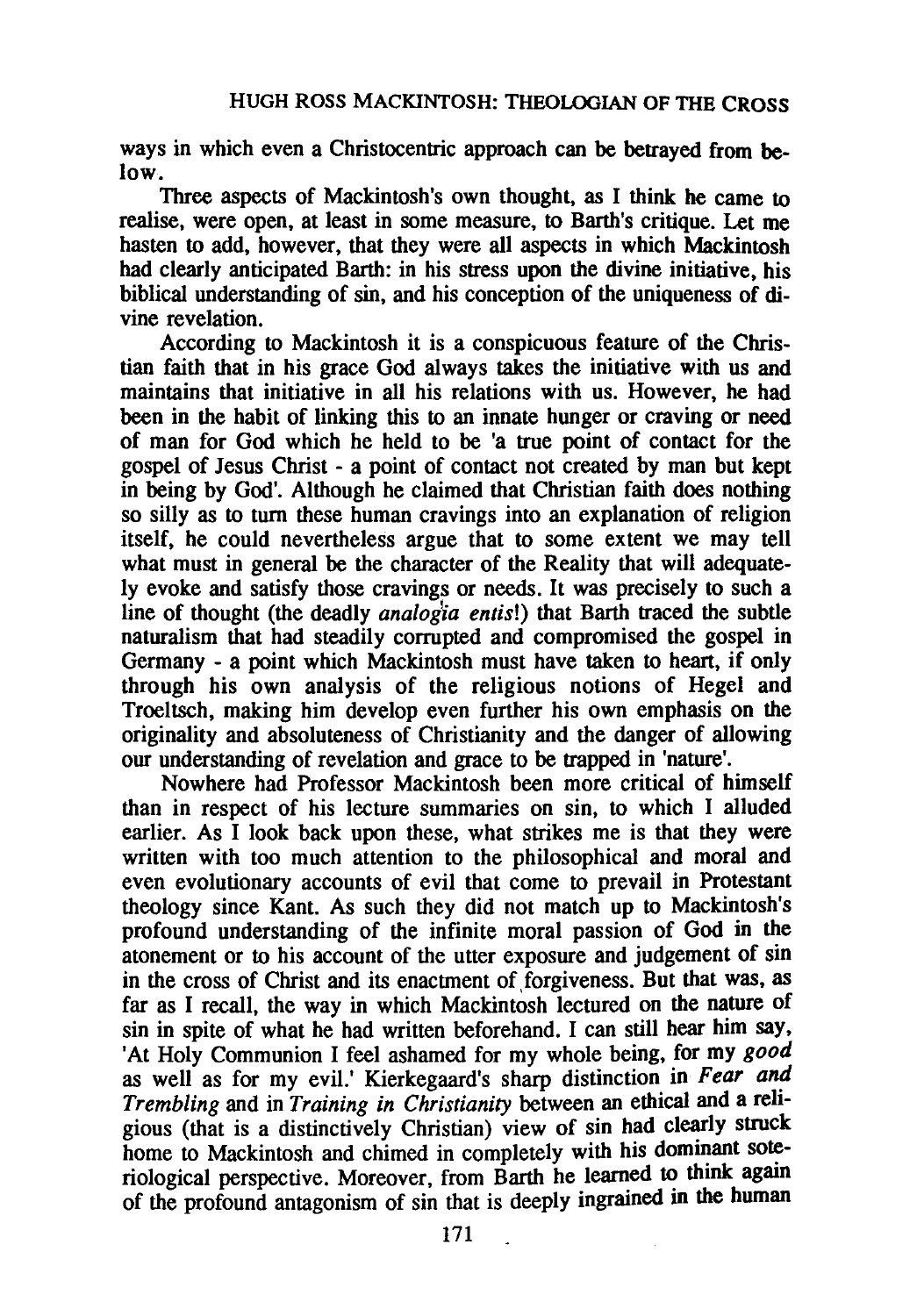ways in which even a Christocentric approach can be betrayed from below.

Three aspects of Mackintosh's own thought, as I think he came to realise, were open, at least in some measure, to Barth's critique. Let me hasten to add, however, that they were all aspects in which Mackintosh had clearly anticipated Barth: in his stress upon the divine initiative, his biblical understanding of sin, and his conception of the uniqueness of divine revelation.

According to Mackintosh it is a conspicuous feature of the Christian faith that in his grace God always takes the initiative with us and maintains that initiative in all his relations with us. However, he had been in the habit of linking this to an innate hunger or craving or need of man for God which he held to be 'a true point of contact for the gospel of Jesus Christ - a point of contact not created by man but kept in being by God'. Although he claimed that Christian faith does nothing so silly as to turn these human cravings into an explanation of religion itself, he could nevertheless argue that to some extent we may tell what must in general be the character of the Reality that will adequately evoke and satisfy those cravings or needs. It was precisely to such a line of thought (the deadly *analog'ia entis!)* that Barth traced the subtle naturalism that had steadily corrupted and compromised the gospel in Germany - a point which Mackintosh must have taken to heart, if only through his own analysis of the religious notions of Hegel and Troeltsch, making him develop even further his own emphasis on the originality and absoluteness of Christianity and the danger of allowing our understanding of revelation and grace to be trapped in 'nature'.

Nowhere had Professor Mackintosh been more critical of himself than in respect of his lecture summaries on sin, to which I alluded earlier. As I look back upon these, what strikes me is that they were written with too much attention to the philosophical and moral and even evolutionary accounts of evil that come to prevail in Protestant theology since Kant. As such they did not match up to Mackintosh's profound understanding of the infinite moral passion of God in the atonement or to his account of the utter exposure and judgement of sin in the cross of Christ and its enactment of forgiveness. But that was, as far as I recall, the way in which Mackintosh lectured on the nature of sin in spite of what he had written beforehand. I can still hear him say, 'At Holy Communion I feel ashamed for my whole being, for my *good*  as well as for my evil.' Kierkegaard's sharp distinction in *Fear and Trembling* and in *Training in Christianity* between an ethical and a religious (that is a distinctively Christian) view of sin had clearly struck home to Mackintosh and chimed in completely with his dominant soteriological perspective. Moreover, from Barth he learned to think again of the profound antagonism of sin that is deeply ingrained in the human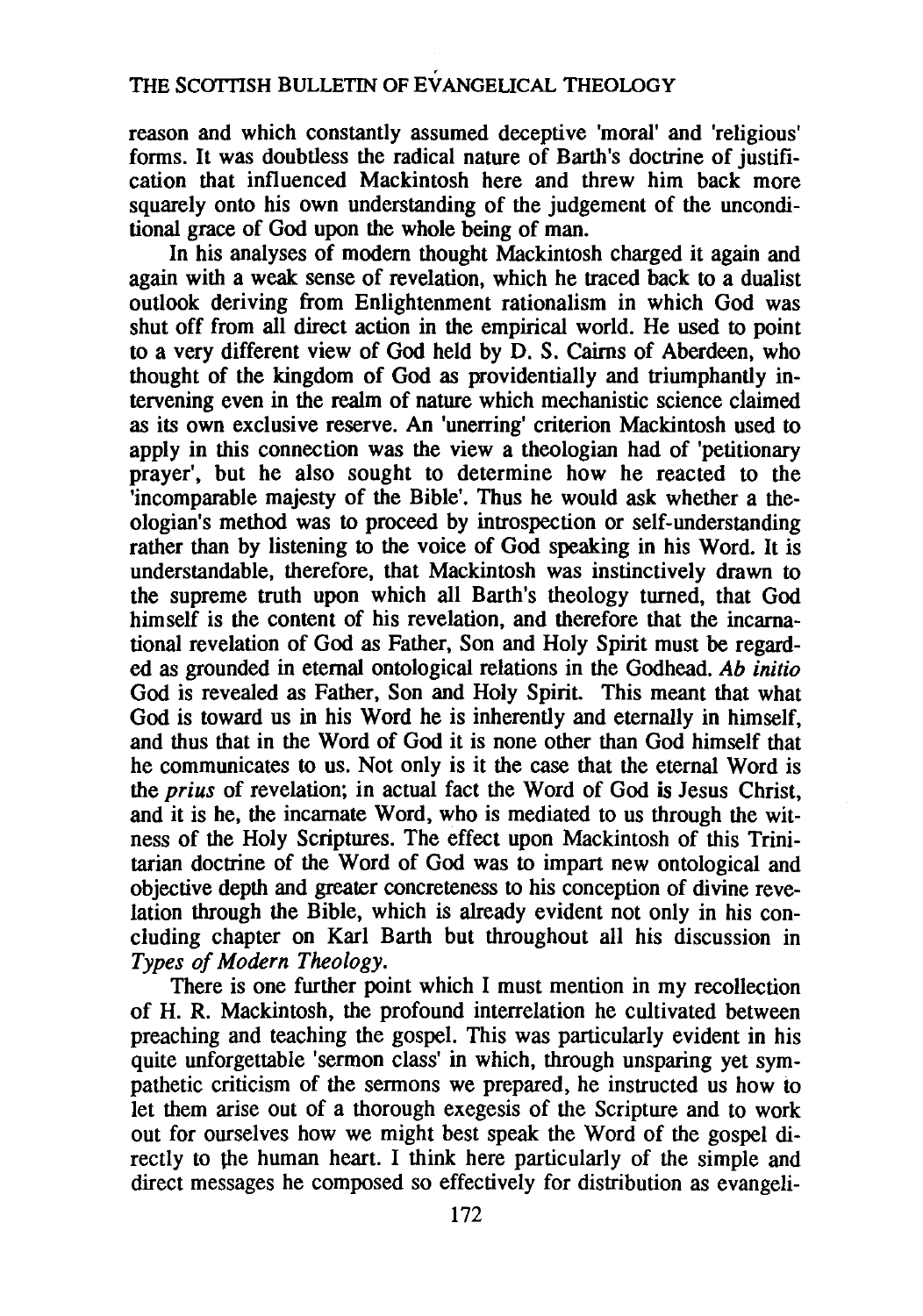reason and which constantly assumed deceptive 'moral' and 'religious' forms. It was doubtless the radical nature of Barth's doctrine of justification that influenced Mackintosh here and threw him back more squarely onto his own understanding of the judgement of the unconditional grace of God upon the whole being of man.

In his analyses of modem thought Mackintosh charged it again and again with a weak sense of revelation, which he traced back to a dualist outlook deriving from Enlightenment rationalism in which God was shut off from all direct action in the empirical world. He used to point to a very different view of God held by D. S. Cairns of Aberdeen, who thought of the kingdom of God as providentially and triumphantly intervening even in the realm of nature which mechanistic science claimed as its own exclusive reserve. An 'unerring' criterion Mackintosh used to apply in this connection was the view a theologian had of 'petitionary prayer', but he also sought to determine how he reacted to the 'incomparable majesty of the Bible'. Thus he would ask whether a theologian's method was to proceed by introspection or self-understanding rather than by listening to the voice of God speaking in his Word. It is understandable, therefore, that Mackintosh was instinctively drawn to the supreme truth upon which all Barth's theology turned, that God himself is the content of his revelation, and therefore that the incarnational revelation of God as Father, Son and Holy Spirit must be regarded as grounded in eternal ontological relations in the Godhead. *Ab initio*  God is revealed as Father, Son and Holy Spirit. This meant that what God is toward us in his Word he is inherently and eternally in himself, and thus that in the Word of God it is none other than God himself that he communicates to us. Not only is it the case that the eternal Word is the *prius* of revelation; in actual fact the Word of God is Jesus Christ, and it is he, the incarnate Word, who is mediated to us through the witness of the Holy Scriptures. The effect upon Mackintosh of this Trinitarian doctrine of the Word of God was to impart new ontological and objective depth and greater concreteness to his conception of divine revelation through the Bible, which is already evident not only in his concluding chapter on Karl Barth but throughout all his discussion in *Types of Modern Theology.* 

There is one further point which I must mention in my recollection of H. R. Mackintosh, the profound interrelation he cultivated between preaching and teaching the gospel. This was particularly evident in his quite unforgettable 'sermon class' in which, through unsparing yet sympathetic criticism of the sermons we prepared, he instructed us how to let them arise out of a thorough exegesis of the Scripture and to work out for ourselves how we might best speak the Word of the gospel directly to the human heart. I think here particularly of the simple and direct messages he composed so effectively for distribution as evangeli-